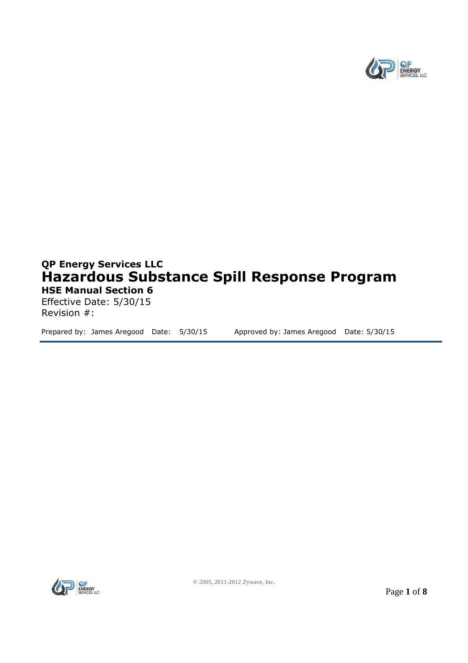

# **QP Energy Services LLC Hazardous Substance Spill Response Program HSE Manual Section 6**

Effective Date: 5/30/15 Revision #:

Prepared by: James Aregood Date: 5/30/15 Approved by: James Aregood Date: 5/30/15

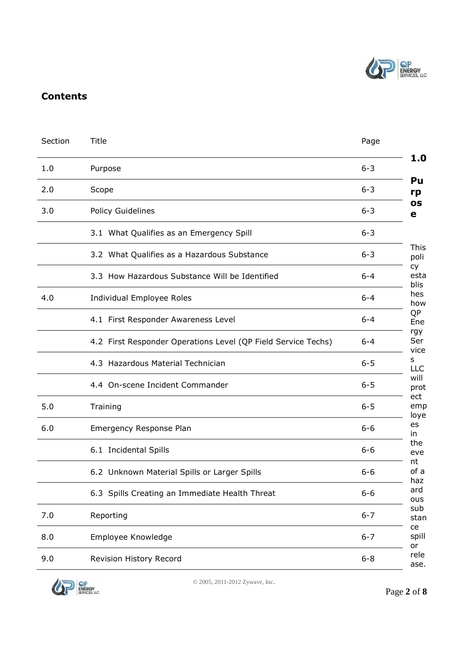

## **Contents**

| Section | <b>Title</b>                                                  | Page    |  |  |
|---------|---------------------------------------------------------------|---------|--|--|
| 1.0     | Purpose                                                       |         |  |  |
| 2.0     | Scope                                                         |         |  |  |
| 3.0     | Policy Guidelines                                             | $6 - 3$ |  |  |
|         | 3.1 What Qualifies as an Emergency Spill                      | $6 - 3$ |  |  |
|         | 3.2 What Qualifies as a Hazardous Substance                   | $6 - 3$ |  |  |
|         | 3.3 How Hazardous Substance Will be Identified                | $6 - 4$ |  |  |
| 4.0     | Individual Employee Roles                                     | $6 - 4$ |  |  |
|         | 4.1 First Responder Awareness Level                           | $6 - 4$ |  |  |
|         | 4.2 First Responder Operations Level (QP Field Service Techs) | $6 - 4$ |  |  |
|         | 4.3 Hazardous Material Technician                             | $6 - 5$ |  |  |
|         | 4.4 On-scene Incident Commander                               | $6 - 5$ |  |  |
| 5.0     | Training                                                      | $6 - 5$ |  |  |
| 6.0     | Emergency Response Plan                                       | $6 - 6$ |  |  |
|         | 6.1 Incidental Spills                                         | $6 - 6$ |  |  |
|         | 6.2 Unknown Material Spills or Larger Spills                  | $6 - 6$ |  |  |
|         | 6.3 Spills Creating an Immediate Health Threat                | $6 - 6$ |  |  |
| 7.0     | Reporting                                                     | $6 - 7$ |  |  |
| 8.0     | Employee Knowledge                                            | $6 - 7$ |  |  |
| 9.0     | Revision History Record                                       | $6 - 8$ |  |  |
|         |                                                               |         |  |  |

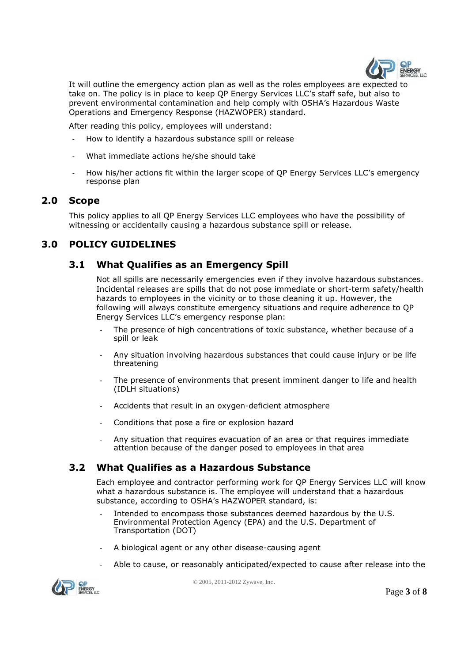

It will outline the emergency action plan as well as the roles employees are expected to take on. The policy is in place to keep QP Energy Services LLC's staff safe, but also to prevent environmental contamination and help comply with OSHA's Hazardous Waste Operations and Emergency Response (HAZWOPER) standard.

After reading this policy, employees will understand:

- How to identify a hazardous substance spill or release
- What immediate actions he/she should take
- How his/her actions fit within the larger scope of QP Energy Services LLC's emergency response plan

## **2.0 Scope**

This policy applies to all QP Energy Services LLC employees who have the possibility of witnessing or accidentally causing a hazardous substance spill or release.

## **3.0 POLICY GUIDELINES**

## **3.1 What Qualifies as an Emergency Spill**

Not all spills are necessarily emergencies even if they involve hazardous substances. Incidental releases are spills that do not pose immediate or short-term safety/health hazards to employees in the vicinity or to those cleaning it up. However, the following will always constitute emergency situations and require adherence to QP Energy Services LLC's emergency response plan:

- The presence of high concentrations of toxic substance, whether because of a spill or leak
- Any situation involving hazardous substances that could cause injury or be life threatening
- The presence of environments that present imminent danger to life and health (IDLH situations)
- Accidents that result in an oxygen-deficient atmosphere
- Conditions that pose a fire or explosion hazard
- Any situation that requires evacuation of an area or that requires immediate attention because of the danger posed to employees in that area

## **3.2 What Qualifies as a Hazardous Substance**

Each employee and contractor performing work for QP Energy Services LLC will know what a hazardous substance is. The employee will understand that a hazardous substance, according to OSHA's HAZWOPER standard, is:

- Intended to encompass those substances deemed hazardous by the U.S. Environmental Protection Agency (EPA) and the U.S. Department of Transportation (DOT)
- A biological agent or any other disease-causing agent
- Able to cause, or reasonably anticipated/expected to cause after release into the

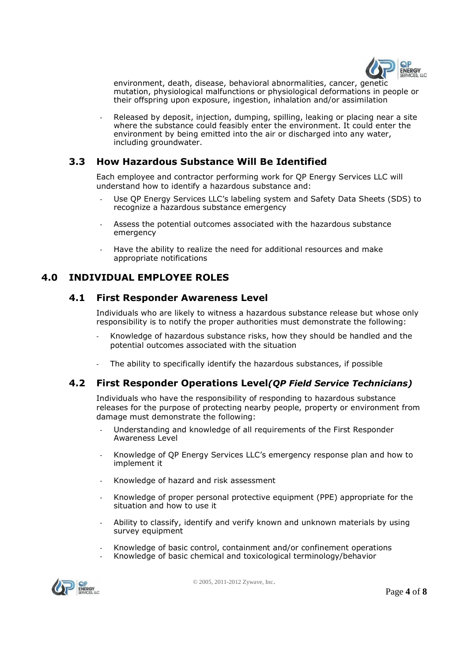

environment, death, disease, behavioral abnormalities, cancer, genetic mutation, physiological malfunctions or physiological deformations in people or their offspring upon exposure, ingestion, inhalation and/or assimilation

Released by deposit, injection, dumping, spilling, leaking or placing near a site where the substance could feasibly enter the environment. It could enter the environment by being emitted into the air or discharged into any water, including groundwater.

## **3.3 How Hazardous Substance Will Be Identified**

Each employee and contractor performing work for QP Energy Services LLC will understand how to identify a hazardous substance and:

- Use OP Energy Services LLC's labeling system and Safety Data Sheets (SDS) to recognize a hazardous substance emergency
- Assess the potential outcomes associated with the hazardous substance emergency
- Have the ability to realize the need for additional resources and make appropriate notifications

## **4.0 INDIVIDUAL EMPLOYEE ROLES**

#### **4.1 First Responder Awareness Level**

Individuals who are likely to witness a hazardous substance release but whose only responsibility is to notify the proper authorities must demonstrate the following:

- Knowledge of hazardous substance risks, how they should be handled and the potential outcomes associated with the situation
- The ability to specifically identify the hazardous substances, if possible

#### **4.2 First Responder Operations Level***(QP Field Service Technicians)*

Individuals who have the responsibility of responding to hazardous substance releases for the purpose of protecting nearby people, property or environment from damage must demonstrate the following:

- Understanding and knowledge of all requirements of the First Responder Awareness Level
- Knowledge of QP Energy Services LLC's emergency response plan and how to implement it
- Knowledge of hazard and risk assessment
- Knowledge of proper personal protective equipment (PPE) appropriate for the situation and how to use it
- Ability to classify, identify and verify known and unknown materials by using survey equipment
- Knowledge of basic control, containment and/or confinement operations
- Knowledge of basic chemical and toxicological terminology/behavior

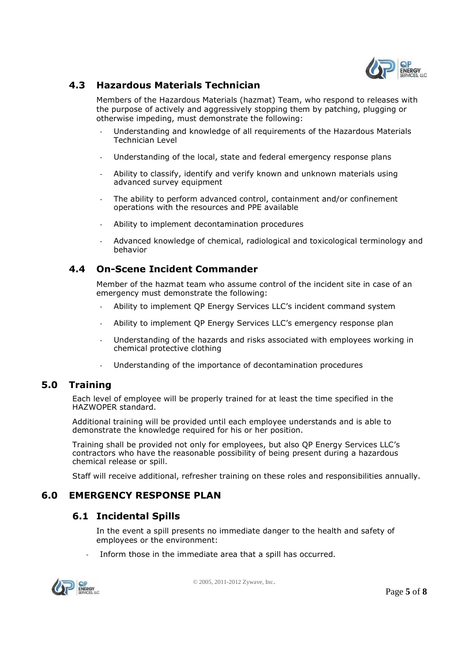

## **4.3 Hazardous Materials Technician**

Members of the Hazardous Materials (hazmat) Team, who respond to releases with the purpose of actively and aggressively stopping them by patching, plugging or otherwise impeding, must demonstrate the following:

- Understanding and knowledge of all requirements of the Hazardous Materials Technician Level
- Understanding of the local, state and federal emergency response plans
- Ability to classify, identify and verify known and unknown materials using advanced survey equipment
- The ability to perform advanced control, containment and/or confinement operations with the resources and PPE available
- Ability to implement decontamination procedures
- Advanced knowledge of chemical, radiological and toxicological terminology and behavior

## **4.4 On-Scene Incident Commander**

Member of the hazmat team who assume control of the incident site in case of an emergency must demonstrate the following:

- Ability to implement QP Energy Services LLC's incident command system
- Ability to implement QP Energy Services LLC's emergency response plan
- Understanding of the hazards and risks associated with employees working in chemical protective clothing
- Understanding of the importance of decontamination procedures

#### **5.0 Training**

Each level of employee will be properly trained for at least the time specified in the HAZWOPER standard.

Additional training will be provided until each employee understands and is able to demonstrate the knowledge required for his or her position.

Training shall be provided not only for employees, but also QP Energy Services LLC's contractors who have the reasonable possibility of being present during a hazardous chemical release or spill.

Staff will receive additional, refresher training on these roles and responsibilities annually.

## **6.0 EMERGENCY RESPONSE PLAN**

## **6.1 Incidental Spills**

In the event a spill presents no immediate danger to the health and safety of employees or the environment:

Inform those in the immediate area that a spill has occurred.

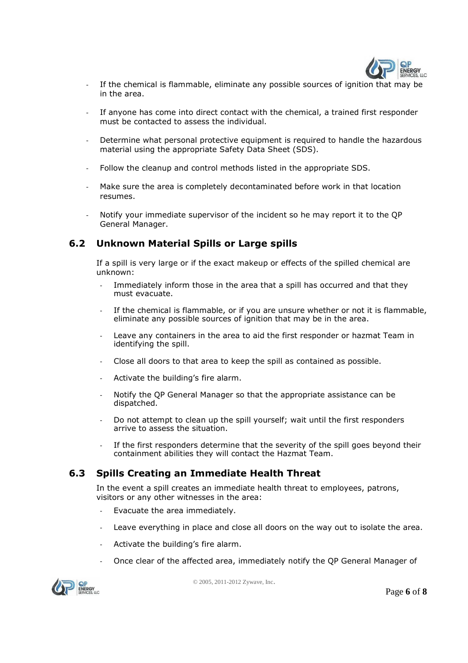

- If the chemical is flammable, eliminate any possible sources of ignition that may be in the area.
- If anyone has come into direct contact with the chemical, a trained first responder must be contacted to assess the individual.
- Determine what personal protective equipment is required to handle the hazardous material using the appropriate Safety Data Sheet (SDS).
- Follow the cleanup and control methods listed in the appropriate SDS.
- Make sure the area is completely decontaminated before work in that location resumes.
- Notify your immediate supervisor of the incident so he may report it to the OP General Manager.

## **6.2 Unknown Material Spills or Large spills**

If a spill is very large or if the exact makeup or effects of the spilled chemical are unknown:

- Immediately inform those in the area that a spill has occurred and that they must evacuate.
- If the chemical is flammable, or if you are unsure whether or not it is flammable, eliminate any possible sources of ignition that may be in the area.
- Leave any containers in the area to aid the first responder or hazmat Team in identifying the spill.
- Close all doors to that area to keep the spill as contained as possible.
- Activate the building's fire alarm.
- Notify the QP General Manager so that the appropriate assistance can be dispatched.
- Do not attempt to clean up the spill yourself; wait until the first responders arrive to assess the situation.
- If the first responders determine that the severity of the spill goes beyond their containment abilities they will contact the Hazmat Team.

## **6.3 Spills Creating an Immediate Health Threat**

In the event a spill creates an immediate health threat to employees, patrons, visitors or any other witnesses in the area:

- Evacuate the area immediately.
- Leave everything in place and close all doors on the way out to isolate the area.
- Activate the building's fire alarm.
- Once clear of the affected area, immediately notify the QP General Manager of

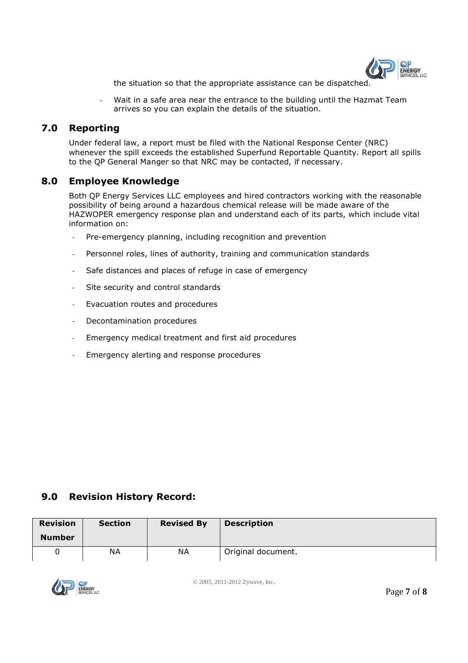

the situation so that the appropriate assistance can be dispatched.

Wait in a safe area near the entrance to the building until the Hazmat Team arrives so you can explain the details of the situation.

## **7.0 Reporting**

Under federal law, a report must be filed with the National Response Center (NRC) whenever the spill exceeds the established Superfund Reportable Quantity. Report all spills to the QP General Manger so that NRC may be contacted, if necessary.

#### **8.0 Employee Knowledge**

Both QP Energy Services LLC employees and hired contractors working with the reasonable possibility of being around a hazardous chemical release will be made aware of the HAZWOPER emergency response plan and understand each of its parts, which include vital information on:

- Pre-emergency planning, including recognition and prevention
- Personnel roles, lines of authority, training and communication standards
- Safe distances and places of refuge in case of emergency
- Site security and control standards
- Evacuation routes and procedures
- Decontamination procedures
- Emergency medical treatment and first aid procedures
- Emergency alerting and response procedures

## **9.0 Revision History Record:**

| <b>Revision</b> | <b>Section</b> | <b>Revised By</b> | <b>Description</b> |
|-----------------|----------------|-------------------|--------------------|
| <b>Number</b>   |                |                   |                    |
|                 | ΝA             | ΝA                | Original document. |